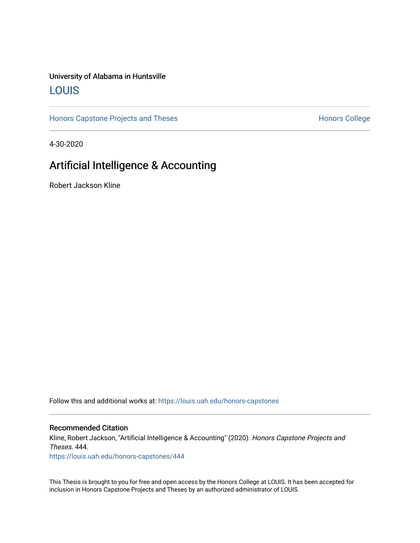# University of Alabama in Huntsville [LOUIS](https://louis.uah.edu/)

[Honors Capstone Projects and Theses](https://louis.uah.edu/honors-capstones) **Honors College** Honors College

4-30-2020

# Artificial Intelligence & Accounting

Robert Jackson Kline

Follow this and additional works at: [https://louis.uah.edu/honors-capstones](https://louis.uah.edu/honors-capstones?utm_source=louis.uah.edu%2Fhonors-capstones%2F444&utm_medium=PDF&utm_campaign=PDFCoverPages) 

#### Recommended Citation

Kline, Robert Jackson, "Artificial Intelligence & Accounting" (2020). Honors Capstone Projects and Theses. 444.

[https://louis.uah.edu/honors-capstones/444](https://louis.uah.edu/honors-capstones/444?utm_source=louis.uah.edu%2Fhonors-capstones%2F444&utm_medium=PDF&utm_campaign=PDFCoverPages) 

This Thesis is brought to you for free and open access by the Honors College at LOUIS. It has been accepted for inclusion in Honors Capstone Projects and Theses by an authorized administrator of LOUIS.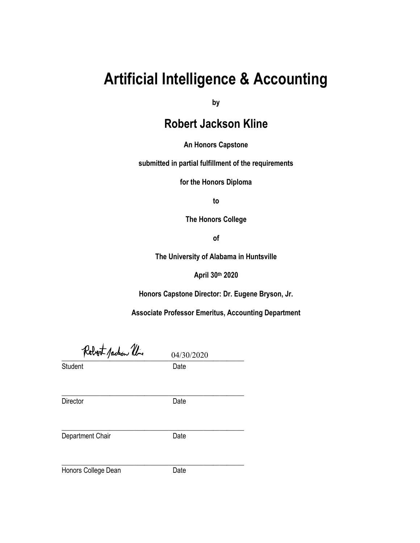# **Artificial Intelligence & Accounting**

**by**

# **Robert Jackson Kline**

**An Honors Capstone**

**submitted in partial fulfillment of the requirements** 

**for the Honors Diploma** 

**to** 

**The Honors College** 

**of** 

**The University of Alabama in Huntsville**

**April 30th 2020**

**Honors Capstone Director: Dr. Eugene Bryson, Jr.**

**Associate Professor Emeritus, Accounting Department**

Robert Jackson Um 04/30/2020

Student Date

Director Date

\_\_\_\_\_\_\_\_\_\_\_\_\_\_\_\_\_\_\_\_\_\_\_\_\_\_\_\_\_\_\_\_\_\_\_\_\_\_\_\_\_\_\_\_\_\_\_\_\_\_\_\_\_

Department Chair **Date** 

\_\_\_\_\_\_\_\_\_\_\_\_\_\_\_\_\_\_\_\_\_\_\_\_\_\_\_\_\_\_\_\_\_\_\_\_\_\_\_\_\_\_\_\_\_\_\_\_\_\_\_\_\_

Honors College Dean Date

\_\_\_\_\_\_\_\_\_\_\_\_\_\_\_\_\_\_\_\_\_\_\_\_\_\_\_\_\_\_\_\_\_\_\_\_\_\_\_\_\_\_\_\_\_\_\_\_\_\_\_\_\_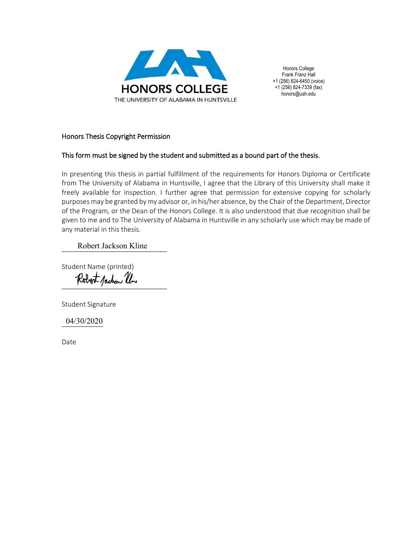

Honors College Frank Franz Hall +1 (256) 824-6450 (voice) +1 (256) 824-7339 (fax) honors@uah.edu

#### Honors Thesis Copyright Permission

### This form must be signed by the student and submitted as a bound part of the thesis.

In presenting this thesis in partial fulfillment of the requirements for Honors Diploma or Certificate from The University of Alabama in Huntsville, I agree that the Library of this University shall make it freely available for inspection. I further agree that permission for extensive copying for scholarly purposes may be granted by my advisor or, in his/her absence, by the Chair of the Department, Director of the Program, or the Dean of the Honors College. It is also understood that due recognition shall be given to me and to The University of Alabama in Huntsville in any scholarly use which may be made of any material in this thesis.

Robert Jackson Kline

Student Name (printed)

Robert Jackson Ulin

Student Signature

\_\_\_\_\_\_\_\_\_\_\_ 04/30/2020

Date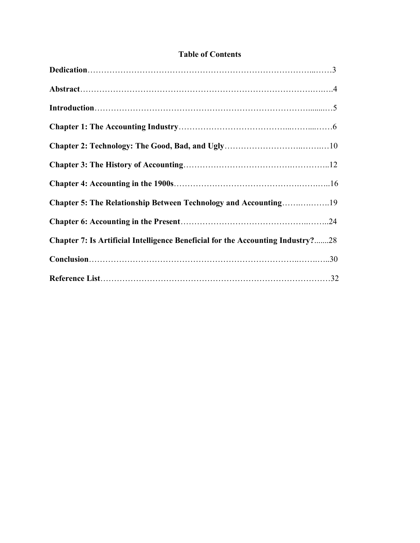### **Table of Contents**

| <b>Chapter 7: Is Artificial Intelligence Beneficial for the Accounting Industry?28</b> |
|----------------------------------------------------------------------------------------|
|                                                                                        |
|                                                                                        |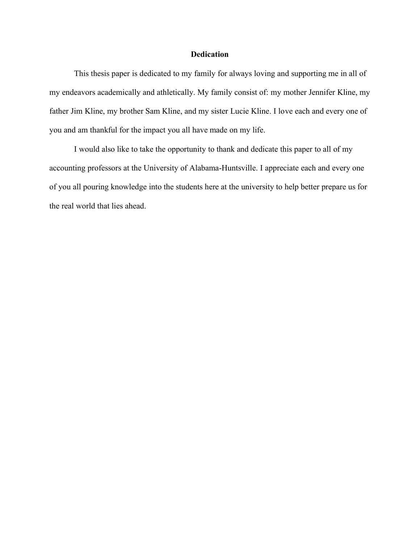#### **Dedication**

This thesis paper is dedicated to my family for always loving and supporting me in all of my endeavors academically and athletically. My family consist of: my mother Jennifer Kline, my father Jim Kline, my brother Sam Kline, and my sister Lucie Kline. I love each and every one of you and am thankful for the impact you all have made on my life.

I would also like to take the opportunity to thank and dedicate this paper to all of my accounting professors at the University of Alabama-Huntsville. I appreciate each and every one of you all pouring knowledge into the students here at the university to help better prepare us for the real world that lies ahead.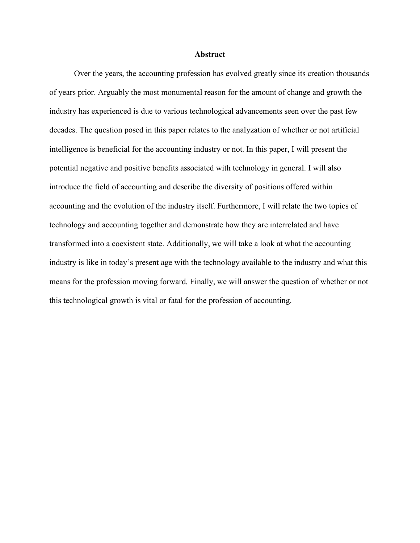#### **Abstract**

Over the years, the accounting profession has evolved greatly since its creation thousands of years prior. Arguably the most monumental reason for the amount of change and growth the industry has experienced is due to various technological advancements seen over the past few decades. The question posed in this paper relates to the analyzation of whether or not artificial intelligence is beneficial for the accounting industry or not. In this paper, I will present the potential negative and positive benefits associated with technology in general. I will also introduce the field of accounting and describe the diversity of positions offered within accounting and the evolution of the industry itself. Furthermore, I will relate the two topics of technology and accounting together and demonstrate how they are interrelated and have transformed into a coexistent state. Additionally, we will take a look at what the accounting industry is like in today's present age with the technology available to the industry and what this means for the profession moving forward. Finally, we will answer the question of whether or not this technological growth is vital or fatal for the profession of accounting.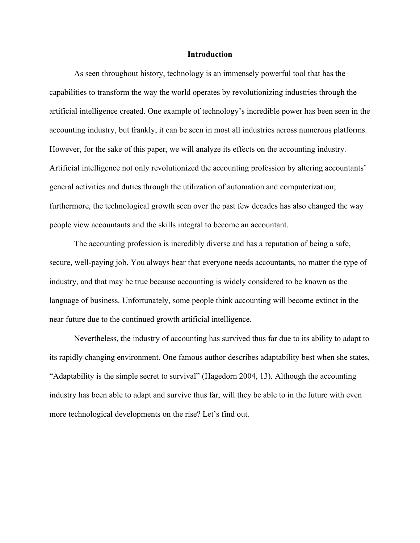#### **Introduction**

As seen throughout history, technology is an immensely powerful tool that has the capabilities to transform the way the world operates by revolutionizing industries through the artificial intelligence created. One example of technology's incredible power has been seen in the accounting industry, but frankly, it can be seen in most all industries across numerous platforms. However, for the sake of this paper, we will analyze its effects on the accounting industry. Artificial intelligence not only revolutionized the accounting profession by altering accountants' general activities and duties through the utilization of automation and computerization; furthermore, the technological growth seen over the past few decades has also changed the way people view accountants and the skills integral to become an accountant.

The accounting profession is incredibly diverse and has a reputation of being a safe, secure, well-paying job. You always hear that everyone needs accountants, no matter the type of industry, and that may be true because accounting is widely considered to be known as the language of business. Unfortunately, some people think accounting will become extinct in the near future due to the continued growth artificial intelligence.

Nevertheless, the industry of accounting has survived thus far due to its ability to adapt to its rapidly changing environment. One famous author describes adaptability best when she states, "Adaptability is the simple secret to survival" (Hagedorn 2004, 13). Although the accounting industry has been able to adapt and survive thus far, will they be able to in the future with even more technological developments on the rise? Let's find out.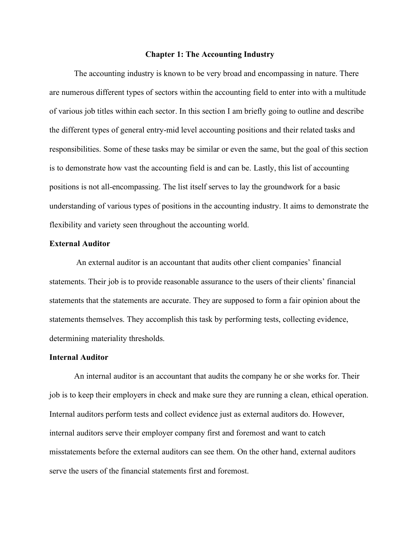#### **Chapter 1: The Accounting Industry**

The accounting industry is known to be very broad and encompassing in nature. There are numerous different types of sectors within the accounting field to enter into with a multitude of various job titles within each sector. In this section I am briefly going to outline and describe the different types of general entry-mid level accounting positions and their related tasks and responsibilities. Some of these tasks may be similar or even the same, but the goal of this section is to demonstrate how vast the accounting field is and can be. Lastly, this list of accounting positions is not all-encompassing. The list itself serves to lay the groundwork for a basic understanding of various types of positions in the accounting industry. It aims to demonstrate the flexibility and variety seen throughout the accounting world.

#### **External Auditor**

An external auditor is an accountant that audits other client companies' financial statements. Their job is to provide reasonable assurance to the users of their clients' financial statements that the statements are accurate. They are supposed to form a fair opinion about the statements themselves. They accomplish this task by performing tests, collecting evidence, determining materiality thresholds.

#### **Internal Auditor**

An internal auditor is an accountant that audits the company he or she works for. Their job is to keep their employers in check and make sure they are running a clean, ethical operation. Internal auditors perform tests and collect evidence just as external auditors do. However, internal auditors serve their employer company first and foremost and want to catch misstatements before the external auditors can see them. On the other hand, external auditors serve the users of the financial statements first and foremost.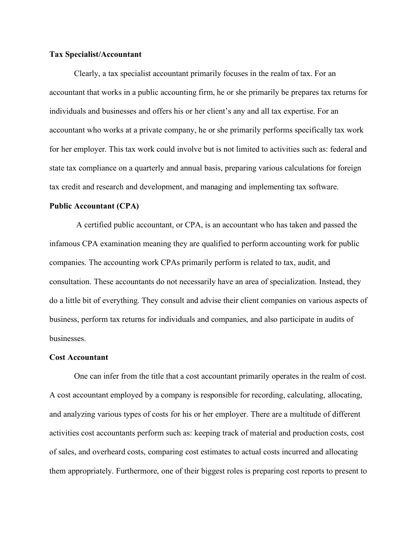#### **Tax Specialist/Accountant**

Clearly, a tax specialist accountant primarily focuses in the realm of tax. For an accountant that works in a public accounting firm, he or she primarily be prepares tax returns for individuals and businesses and offers his or her client's any and all tax expertise. For an accountant who works at a private company, he or she primarily performs specifically tax work for her employer. This tax work could involve but is not limited to activities such as: federal and state tax compliance on a quarterly and annual basis, preparing various calculations for foreign tax credit and research and development, and managing and implementing tax software.

#### **Public Accountant (CPA)**

A certified public accountant, or CPA, is an accountant who has taken and passed the infamous CPA examination meaning they are qualified to perform accounting work for public companies. The accounting work CPAs primarily perform is related to tax, audit, and consultation. These accountants do not necessarily have an area of specialization. Instead, they do a little bit of everything. They consult and advise their client companies on various aspects of business, perform tax returns for individuals and companies, and also participate in audits of businesses.

#### **Cost Accountant**

One can infer from the title that a cost accountant primarily operates in the realm of cost. A cost accountant employed by a company is responsible for recording, calculating, allocating, and analyzing various types of costs for his or her employer. There are a multitude of different activities cost accountants perform such as: keeping track of material and production costs, cost of sales, and overheard costs, comparing cost estimates to actual costs incurred and allocating them appropriately. Furthermore, one of their biggest roles is preparing cost reports to present to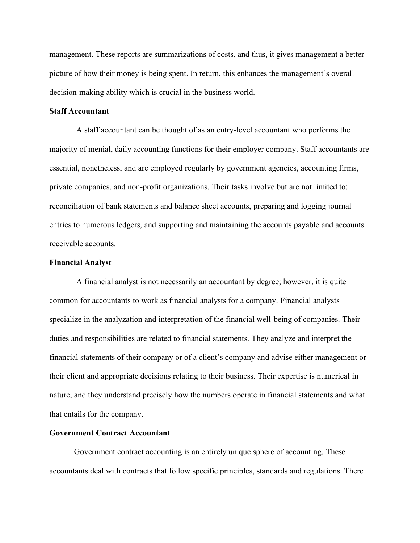management. These reports are summarizations of costs, and thus, it gives management a better picture of how their money is being spent. In return, this enhances the management's overall decision-making ability which is crucial in the business world.

#### **Staff Accountant**

A staff accountant can be thought of as an entry-level accountant who performs the majority of menial, daily accounting functions for their employer company. Staff accountants are essential, nonetheless, and are employed regularly by government agencies, accounting firms, private companies, and non-profit organizations. Their tasks involve but are not limited to: reconciliation of bank statements and balance sheet accounts, preparing and logging journal entries to numerous ledgers, and supporting and maintaining the accounts payable and accounts receivable accounts.

#### **Financial Analyst**

A financial analyst is not necessarily an accountant by degree; however, it is quite common for accountants to work as financial analysts for a company. Financial analysts specialize in the analyzation and interpretation of the financial well-being of companies. Their duties and responsibilities are related to financial statements. They analyze and interpret the financial statements of their company or of a client's company and advise either management or their client and appropriate decisions relating to their business. Their expertise is numerical in nature, and they understand precisely how the numbers operate in financial statements and what that entails for the company.

#### **Government Contract Accountant**

Government contract accounting is an entirely unique sphere of accounting. These accountants deal with contracts that follow specific principles, standards and regulations. There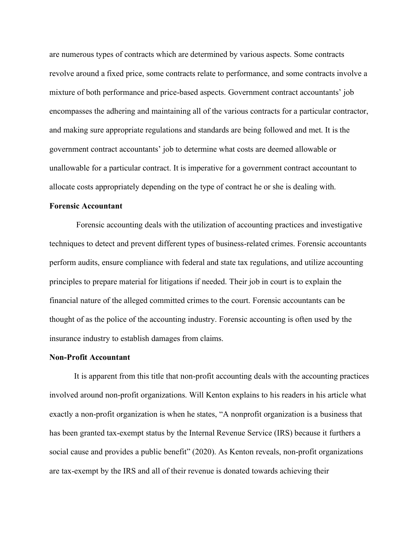are numerous types of contracts which are determined by various aspects. Some contracts revolve around a fixed price, some contracts relate to performance, and some contracts involve a mixture of both performance and price-based aspects. Government contract accountants' job encompasses the adhering and maintaining all of the various contracts for a particular contractor, and making sure appropriate regulations and standards are being followed and met. It is the government contract accountants' job to determine what costs are deemed allowable or unallowable for a particular contract. It is imperative for a government contract accountant to allocate costs appropriately depending on the type of contract he or she is dealing with.

#### **Forensic Accountant**

Forensic accounting deals with the utilization of accounting practices and investigative techniques to detect and prevent different types of business-related crimes. Forensic accountants perform audits, ensure compliance with federal and state tax regulations, and utilize accounting principles to prepare material for litigations if needed. Their job in court is to explain the financial nature of the alleged committed crimes to the court. Forensic accountants can be thought of as the police of the accounting industry. Forensic accounting is often used by the insurance industry to establish damages from claims.

#### **Non-Profit Accountant**

It is apparent from this title that non-profit accounting deals with the accounting practices involved around non-profit organizations. Will Kenton explains to his readers in his article what exactly a non-profit organization is when he states, "A nonprofit organization is a business that has been granted tax-exempt status by the Internal Revenue Service (IRS) because it furthers a social cause and provides a public benefit" (2020). As Kenton reveals, non-profit organizations are tax-exempt by the IRS and all of their revenue is donated towards achieving their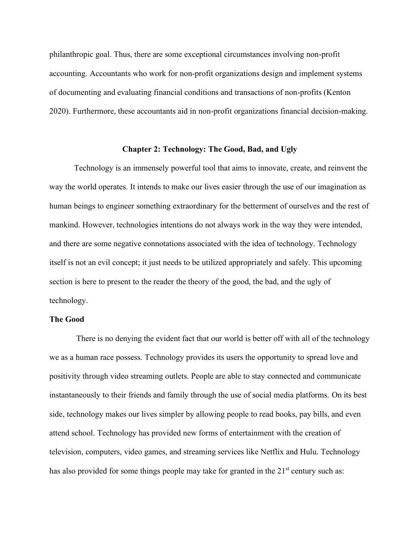philanthropic goal. Thus, there are some exceptional circumstances involving non-profit accounting. Accountants who work for non-profit organizations design and implement systems of documenting and evaluating financial conditions and transactions of non-profits (Kenton 2020). Furthermore, these accountants aid in non-profit organizations financial decision-making.

#### **Chapter 2: Technology: The Good, Bad, and Ugly**

Technology is an immensely powerful tool that aims to innovate, create, and reinvent the way the world operates. It intends to make our lives easier through the use of our imagination as human beings to engineer something extraordinary for the betterment of ourselves and the rest of mankind. However, technologies intentions do not always work in the way they were intended, and there are some negative connotations associated with the idea of technology. Technology itself is not an evil concept; it just needs to be utilized appropriately and safely. This upcoming section is here to present to the reader the theory of the good, the bad, and the ugly of technology.

#### **The Good**

There is no denying the evident fact that our world is better off with all of the technology we as a human race possess. Technology provides its users the opportunity to spread love and positivity through video streaming outlets. People are able to stay connected and communicate instantaneously to their friends and family through the use of social media platforms. On its best side, technology makes our lives simpler by allowing people to read books, pay bills, and even attend school. Technology has provided new forms of entertainment with the creation of television, computers, video games, and streaming services like Netflix and Hulu. Technology has also provided for some things people may take for granted in the  $21<sup>st</sup>$  century such as: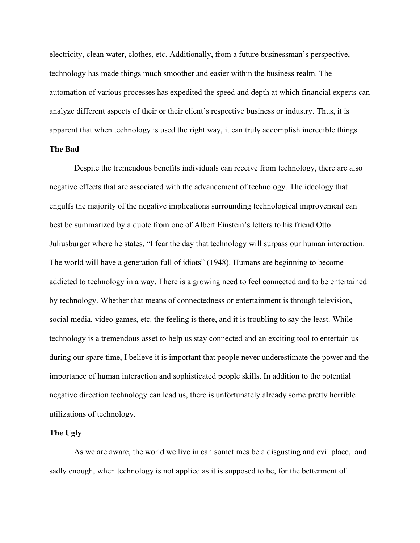electricity, clean water, clothes, etc. Additionally, from a future businessman's perspective, technology has made things much smoother and easier within the business realm. The automation of various processes has expedited the speed and depth at which financial experts can analyze different aspects of their or their client's respective business or industry. Thus, it is apparent that when technology is used the right way, it can truly accomplish incredible things. **The Bad** 

# Despite the tremendous benefits individuals can receive from technology, there are also negative effects that are associated with the advancement of technology. The ideology that engulfs the majority of the negative implications surrounding technological improvement can best be summarized by a quote from one of Albert Einstein's letters to his friend Otto Juliusburger where he states, "I fear the day that technology will surpass our human interaction. The world will have a generation full of idiots" (1948). Humans are beginning to become addicted to technology in a way. There is a growing need to feel connected and to be entertained by technology. Whether that means of connectedness or entertainment is through television, social media, video games, etc. the feeling is there, and it is troubling to say the least. While technology is a tremendous asset to help us stay connected and an exciting tool to entertain us during our spare time, I believe it is important that people never underestimate the power and the importance of human interaction and sophisticated people skills. In addition to the potential negative direction technology can lead us, there is unfortunately already some pretty horrible utilizations of technology.

#### **The Ugly**

As we are aware, the world we live in can sometimes be a disgusting and evil place, and sadly enough, when technology is not applied as it is supposed to be, for the betterment of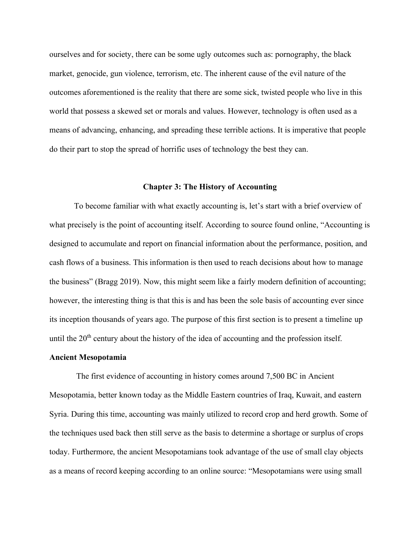ourselves and for society, there can be some ugly outcomes such as: pornography, the black market, genocide, gun violence, terrorism, etc. The inherent cause of the evil nature of the outcomes aforementioned is the reality that there are some sick, twisted people who live in this world that possess a skewed set or morals and values. However, technology is often used as a means of advancing, enhancing, and spreading these terrible actions. It is imperative that people do their part to stop the spread of horrific uses of technology the best they can.

#### **Chapter 3: The History of Accounting**

To become familiar with what exactly accounting is, let's start with a brief overview of what precisely is the point of accounting itself. According to source found online, "Accounting is designed to accumulate and report on financial information about the performance, position, and cash flows of a business. This information is then used to reach decisions about how to manage the business" (Bragg 2019). Now, this might seem like a fairly modern definition of accounting; however, the interesting thing is that this is and has been the sole basis of accounting ever since its inception thousands of years ago. The purpose of this first section is to present a timeline up until the  $20<sup>th</sup>$  century about the history of the idea of accounting and the profession itself.

#### **Ancient Mesopotamia**

The first evidence of accounting in history comes around 7,500 BC in Ancient Mesopotamia, better known today as the Middle Eastern countries of Iraq, Kuwait, and eastern Syria. During this time, accounting was mainly utilized to record crop and herd growth. Some of the techniques used back then still serve as the basis to determine a shortage or surplus of crops today. Furthermore, the ancient Mesopotamians took advantage of the use of small clay objects as a means of record keeping according to an online source: "Mesopotamians were using small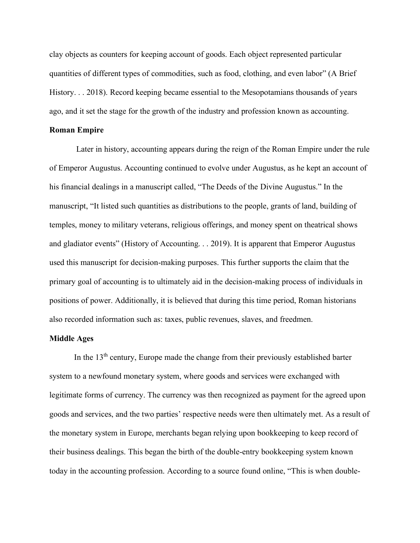clay objects as counters for keeping account of goods. Each object represented particular quantities of different types of commodities, such as food, clothing, and even labor" (A Brief History. . . 2018). Record keeping became essential to the Mesopotamians thousands of years ago, and it set the stage for the growth of the industry and profession known as accounting.

#### **Roman Empire**

Later in history, accounting appears during the reign of the Roman Empire under the rule of Emperor Augustus. Accounting continued to evolve under Augustus, as he kept an account of his financial dealings in a manuscript called, "The Deeds of the Divine Augustus." In the manuscript, "It listed such quantities as distributions to the people, grants of land, building of temples, money to military veterans, religious offerings, and money spent on theatrical shows and gladiator events" (History of Accounting. . . 2019). It is apparent that Emperor Augustus used this manuscript for decision-making purposes. This further supports the claim that the primary goal of accounting is to ultimately aid in the decision-making process of individuals in positions of power. Additionally, it is believed that during this time period, Roman historians also recorded information such as: taxes, public revenues, slaves, and freedmen.

#### **Middle Ages**

In the  $13<sup>th</sup>$  century, Europe made the change from their previously established barter system to a newfound monetary system, where goods and services were exchanged with legitimate forms of currency. The currency was then recognized as payment for the agreed upon goods and services, and the two parties' respective needs were then ultimately met. As a result of the monetary system in Europe, merchants began relying upon bookkeeping to keep record of their business dealings. This began the birth of the double-entry bookkeeping system known today in the accounting profession. According to a source found online, "This is when double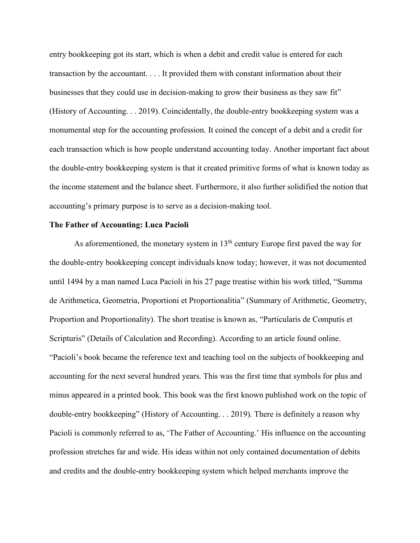entry bookkeeping got its start, which is when a debit and credit value is entered for each transaction by the accountant. . . . It provided them with constant information about their businesses that they could use in decision-making to grow their business as they saw fit´ (History of Accounting. . . 2019). Coincidentally, the double-entry bookkeeping system was a monumental step for the accounting profession. It coined the concept of a debit and a credit for each transaction which is how people understand accounting today. Another important fact about the double-entry bookkeeping system is that it created primitive forms of what is known today as the income statement and the balance sheet. Furthermore, it also further solidified the notion that accounting's primary purpose is to serve as a decision-making tool.

#### **The Father of Accounting: Luca Pacioli**

As aforementioned, the monetary system in  $13<sup>th</sup>$  century Europe first paved the way for the double-entry bookkeeping concept individuals know today; however, it was not documented until 1494 by a man named Luca Pacioli in his 27 page treatise within his work titled, "Summa" de Arithmetica, Geometria, Proportioni et Proportionalitia" (Summary of Arithmetic, Geometry, Proportion and Proportionality). The short treatise is known as, "Particularis de Computis et Scripturis" (Details of Calculation and Recording). According to an article found online, "Pacioli's book became the reference text and teaching tool on the subjects of bookkeeping and accounting for the next several hundred years. This was the first time that symbols for plus and minus appeared in a printed book. This book was the first known published work on the topic of double-entry bookkeeping" (History of Accounting. . . 2019). There is definitely a reason why Pacioli is commonly referred to as, 'The Father of Accounting.' His influence on the accounting profession stretches far and wide. His ideas within not only contained documentation of debits and credits and the double-entry bookkeeping system which helped merchants improve the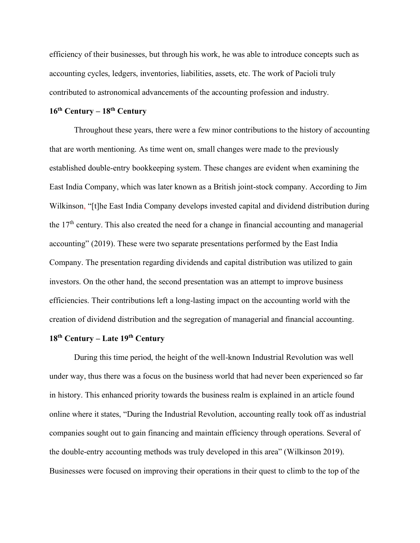efficiency of their businesses, but through his work, he was able to introduce concepts such as accounting cycles, ledgers, inventories, liabilities, assets, etc. The work of Pacioli truly contributed to astronomical advancements of the accounting profession and industry.

## **16th Century – 18th Century**

Throughout these years, there were a few minor contributions to the history of accounting that are worth mentioning. As time went on, small changes were made to the previously established double-entry bookkeeping system. These changes are evident when examining the East India Company, which was later known as a British joint-stock company. According to Jim Wilkinson, "[t]he East India Company develops invested capital and dividend distribution during the 17<sup>th</sup> century. This also created the need for a change in financial accounting and managerial accounting" (2019). These were two separate presentations performed by the East India Company. The presentation regarding dividends and capital distribution was utilized to gain investors. On the other hand, the second presentation was an attempt to improve business efficiencies. Their contributions left a long-lasting impact on the accounting world with the creation of dividend distribution and the segregation of managerial and financial accounting.

## **18th Century – Late 19th Century**

During this time period, the height of the well-known Industrial Revolution was well under way, thus there was a focus on the business world that had never been experienced so far in history. This enhanced priority towards the business realm is explained in an article found online where it states, "During the Industrial Revolution, accounting really took off as industrial companies sought out to gain financing and maintain efficiency through operations. Several of the double-entry accounting methods was truly developed in this area" (Wilkinson 2019). Businesses were focused on improving their operations in their quest to climb to the top of the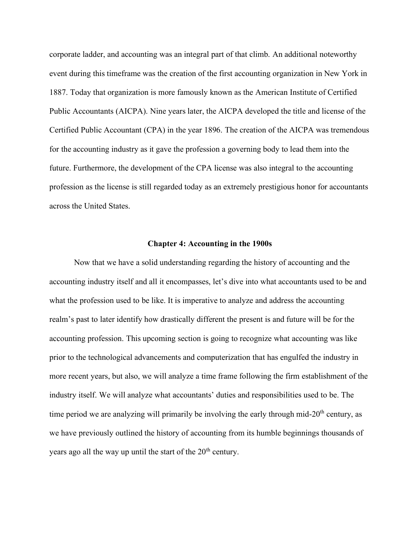corporate ladder, and accounting was an integral part of that climb. An additional noteworthy event during this timeframe was the creation of the first accounting organization in New York in 1887. Today that organization is more famously known as the American Institute of Certified Public Accountants (AICPA). Nine years later, the AICPA developed the title and license of the Certified Public Accountant (CPA) in the year 1896. The creation of the AICPA was tremendous for the accounting industry as it gave the profession a governing body to lead them into the future. Furthermore, the development of the CPA license was also integral to the accounting profession as the license is still regarded today as an extremely prestigious honor for accountants across the United States.

#### **Chapter 4: Accounting in the 1900s**

Now that we have a solid understanding regarding the history of accounting and the accounting industry itself and all it encompasses, let's dive into what accountants used to be and what the profession used to be like. It is imperative to analyze and address the accounting realm's past to later identify how drastically different the present is and future will be for the accounting profession. This upcoming section is going to recognize what accounting was like prior to the technological advancements and computerization that has engulfed the industry in more recent years, but also, we will analyze a time frame following the firm establishment of the industry itself. We will analyze what accountants' duties and responsibilities used to be. The time period we are analyzing will primarily be involving the early through mid- $20<sup>th</sup>$  century, as we have previously outlined the history of accounting from its humble beginnings thousands of years ago all the way up until the start of the  $20<sup>th</sup>$  century.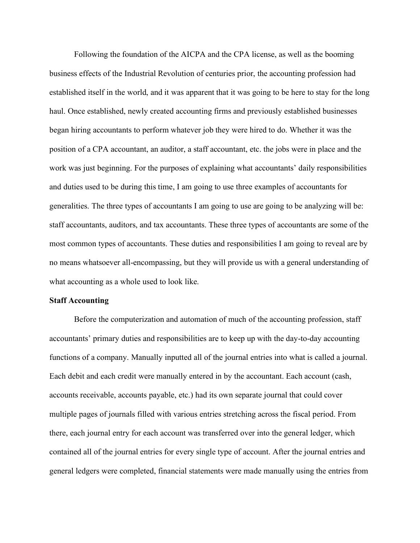Following the foundation of the AICPA and the CPA license, as well as the booming business effects of the Industrial Revolution of centuries prior, the accounting profession had established itself in the world, and it was apparent that it was going to be here to stay for the long haul. Once established, newly created accounting firms and previously established businesses began hiring accountants to perform whatever job they were hired to do. Whether it was the position of a CPA accountant, an auditor, a staff accountant, etc. the jobs were in place and the work was just beginning. For the purposes of explaining what accountants' daily responsibilities and duties used to be during this time, I am going to use three examples of accountants for generalities. The three types of accountants I am going to use are going to be analyzing will be: staff accountants, auditors, and tax accountants. These three types of accountants are some of the most common types of accountants. These duties and responsibilities I am going to reveal are by no means whatsoever all-encompassing, but they will provide us with a general understanding of what accounting as a whole used to look like.

#### **Staff Accounting**

Before the computerization and automation of much of the accounting profession, staff accountants' primary duties and responsibilities are to keep up with the day-to-day accounting functions of a company. Manually inputted all of the journal entries into what is called a journal. Each debit and each credit were manually entered in by the accountant. Each account (cash, accounts receivable, accounts payable, etc.) had its own separate journal that could cover multiple pages of journals filled with various entries stretching across the fiscal period. From there, each journal entry for each account was transferred over into the general ledger, which contained all of the journal entries for every single type of account. After the journal entries and general ledgers were completed, financial statements were made manually using the entries from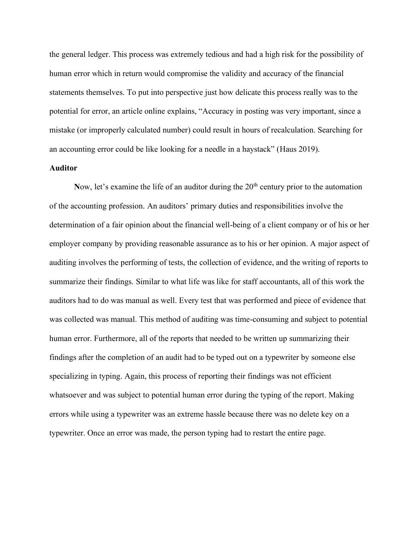the general ledger. This process was extremely tedious and had a high risk for the possibility of human error which in return would compromise the validity and accuracy of the financial statements themselves. To put into perspective just how delicate this process really was to the potential for error, an article online explains, "Accuracy in posting was very important, since a mistake (or improperly calculated number) could result in hours of recalculation. Searching for an accounting error could be like looking for a needle in a haystack" (Haus 2019).

#### **Auditor**

Now, let's examine the life of an auditor during the 20<sup>th</sup> century prior to the automation of the accounting profession. An auditors' primary duties and responsibilities involve the determination of a fair opinion about the financial well-being of a client company or of his or her employer company by providing reasonable assurance as to his or her opinion. A major aspect of auditing involves the performing of tests, the collection of evidence, and the writing of reports to summarize their findings. Similar to what life was like for staff accountants, all of this work the auditors had to do was manual as well. Every test that was performed and piece of evidence that was collected was manual. This method of auditing was time-consuming and subject to potential human error. Furthermore, all of the reports that needed to be written up summarizing their findings after the completion of an audit had to be typed out on a typewriter by someone else specializing in typing. Again, this process of reporting their findings was not efficient whatsoever and was subject to potential human error during the typing of the report. Making errors while using a typewriter was an extreme hassle because there was no delete key on a typewriter. Once an error was made, the person typing had to restart the entire page.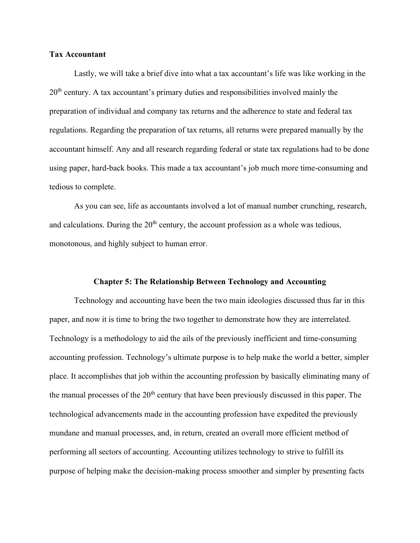#### **Tax Accountant**

Lastly, we will take a brief dive into what a tax accountant's life was like working in the  $20<sup>th</sup>$  century. A tax accountant's primary duties and responsibilities involved mainly the preparation of individual and company tax returns and the adherence to state and federal tax regulations. Regarding the preparation of tax returns, all returns were prepared manually by the accountant himself. Any and all research regarding federal or state tax regulations had to be done using paper, hard-back books. This made a tax accountant's job much more time-consuming and tedious to complete.

As you can see, life as accountants involved a lot of manual number crunching, research, and calculations. During the  $20<sup>th</sup>$  century, the account profession as a whole was tedious, monotonous, and highly subject to human error.

#### **Chapter 5: The Relationship Between Technology and Accounting**

Technology and accounting have been the two main ideologies discussed thus far in this paper, and now it is time to bring the two together to demonstrate how they are interrelated. Technology is a methodology to aid the ails of the previously inefficient and time-consuming accounting profession. Technology's ultimate purpose is to help make the world a better, simpler place. It accomplishes that job within the accounting profession by basically eliminating many of the manual processes of the 20<sup>th</sup> century that have been previously discussed in this paper. The technological advancements made in the accounting profession have expedited the previously mundane and manual processes, and, in return, created an overall more efficient method of performing all sectors of accounting. Accounting utilizes technology to strive to fulfill its purpose of helping make the decision-making process smoother and simpler by presenting facts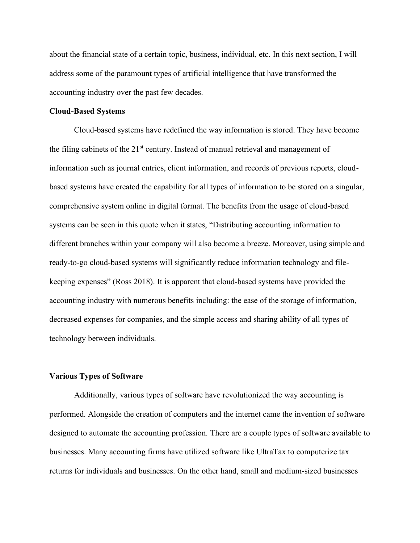about the financial state of a certain topic, business, individual, etc. In this next section, I will address some of the paramount types of artificial intelligence that have transformed the accounting industry over the past few decades.

#### **Cloud-Based Systems**

Cloud-based systems have redefined the way information is stored. They have become the filing cabinets of the 21<sup>st</sup> century. Instead of manual retrieval and management of information such as journal entries, client information, and records of previous reports, cloudbased systems have created the capability for all types of information to be stored on a singular, comprehensive system online in digital format. The benefits from the usage of cloud-based systems can be seen in this quote when it states, "Distributing accounting information to different branches within your company will also become a breeze. Moreover, using simple and ready-to-go cloud-based systems will significantly reduce information technology and filekeeping expenses´ (Ross 2018). It is apparent that cloud-based systems have provided the accounting industry with numerous benefits including: the ease of the storage of information, decreased expenses for companies, and the simple access and sharing ability of all types of technology between individuals.

#### **Various Types of Software**

Additionally, various types of software have revolutionized the way accounting is performed. Alongside the creation of computers and the internet came the invention of software designed to automate the accounting profession. There are a couple types of software available to businesses. Many accounting firms have utilized software like UltraTax to computerize tax returns for individuals and businesses. On the other hand, small and medium-sized businesses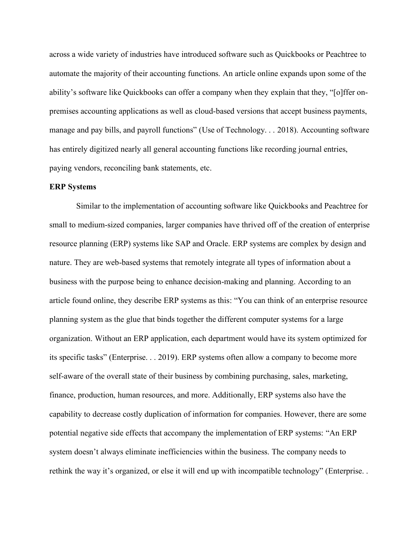across a wide variety of industries have introduced software such as Quickbooks or Peachtree to automate the majority of their accounting functions. An article online expands upon some of the ability's software like Quickbooks can offer a company when they explain that they, "[o]ffer onpremises accounting applications as well as cloud-based versions that accept business payments, manage and pay bills, and payroll functions" (Use of Technology. . . 2018). Accounting software has entirely digitized nearly all general accounting functions like recording journal entries, paying vendors, reconciling bank statements, etc.

#### **ERP Systems**

Similar to the implementation of accounting software like Quickbooks and Peachtree for small to medium-sized companies, larger companies have thrived off of the creation of enterprise resource planning (ERP) systems like SAP and Oracle. ERP systems are complex by design and nature. They are web-based systems that remotely integrate all types of information about a business with the purpose being to enhance decision-making and planning. According to an article found online, they describe ERP systems as this: "You can think of an enterprise resource planning system as the glue that binds together the different computer systems for a large organization. Without an ERP application, each department would have its system optimized for its specific tasks" (Enterprise. . . 2019). ERP systems often allow a company to become more self-aware of the overall state of their business by combining purchasing, sales, marketing, finance, production, human resources, and more. Additionally, ERP systems also have the capability to decrease costly duplication of information for companies. However, there are some potential negative side effects that accompany the implementation of ERP systems: "An ERP system doesn't always eliminate inefficiencies within the business. The company needs to rethink the way it's organized, or else it will end up with incompatible technology" (Enterprise. .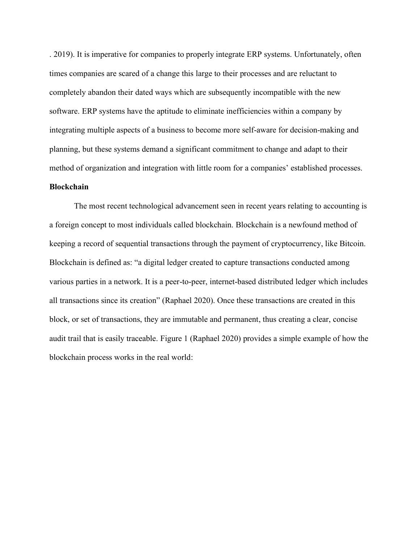. 2019). It is imperative for companies to properly integrate ERP systems. Unfortunately, often times companies are scared of a change this large to their processes and are reluctant to completely abandon their dated ways which are subsequently incompatible with the new software. ERP systems have the aptitude to eliminate inefficiencies within a company by integrating multiple aspects of a business to become more self-aware for decision-making and planning, but these systems demand a significant commitment to change and adapt to their method of organization and integration with little room for a companies' established processes.

#### **Blockchain**

The most recent technological advancement seen in recent years relating to accounting is a foreign concept to most individuals called blockchain. Blockchain is a newfound method of keeping a record of sequential transactions through the payment of cryptocurrency, like Bitcoin. Blockchain is defined as: "a digital ledger created to capture transactions conducted among various parties in a network. It is a peer-to-peer, internet-based distributed ledger which includes all transactions since its creation" (Raphael 2020). Once these transactions are created in this block, or set of transactions, they are immutable and permanent, thus creating a clear, concise audit trail that is easily traceable. Figure 1 (Raphael 2020) provides a simple example of how the blockchain process works in the real world: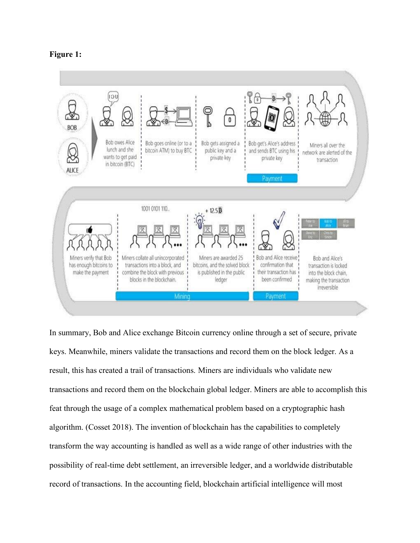



In summary, Bob and Alice exchange Bitcoin currency online through a set of secure, private keys. Meanwhile, miners validate the transactions and record them on the block ledger. As a result, this has created a trail of transactions. Miners are individuals who validate new transactions and record them on the blockchain global ledger. Miners are able to accomplish this feat through the usage of a complex mathematical problem based on a cryptographic hash algorithm. (Cosset 2018). The invention of blockchain has the capabilities to completely transform the way accounting is handled as well as a wide range of other industries with the possibility of real-time debt settlement, an irreversible ledger, and a worldwide distributable record of transactions. In the accounting field, blockchain artificial intelligence will most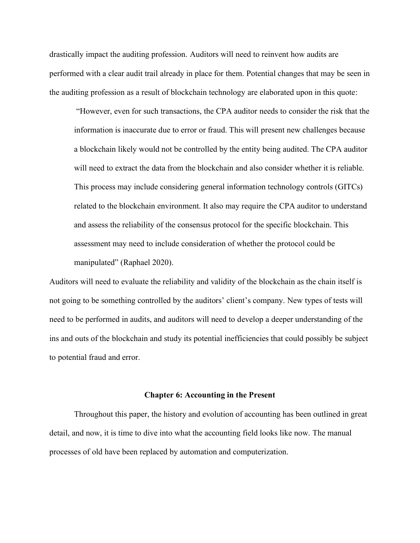drastically impact the auditing profession. Auditors will need to reinvent how audits are performed with a clear audit trail already in place for them. Potential changes that may be seen in the auditing profession as a result of blockchain technology are elaborated upon in this quote:

³However, even for such transactions, the CPA auditor needs to consider the risk that the information is inaccurate due to error or fraud. This will present new challenges because a blockchain likely would not be controlled by the entity being audited. The CPA auditor will need to extract the data from the blockchain and also consider whether it is reliable. This process may include considering general information technology controls (GITCs) related to the blockchain environment. It also may require the CPA auditor to understand and assess the reliability of the consensus protocol for the specific blockchain. This assessment may need to include consideration of whether the protocol could be manipulated" (Raphael 2020).

Auditors will need to evaluate the reliability and validity of the blockchain as the chain itself is not going to be something controlled by the auditors' client's company. New types of tests will need to be performed in audits, and auditors will need to develop a deeper understanding of the ins and outs of the blockchain and study its potential inefficiencies that could possibly be subject to potential fraud and error.

#### **Chapter 6: Accounting in the Present**

Throughout this paper, the history and evolution of accounting has been outlined in great detail, and now, it is time to dive into what the accounting field looks like now. The manual processes of old have been replaced by automation and computerization.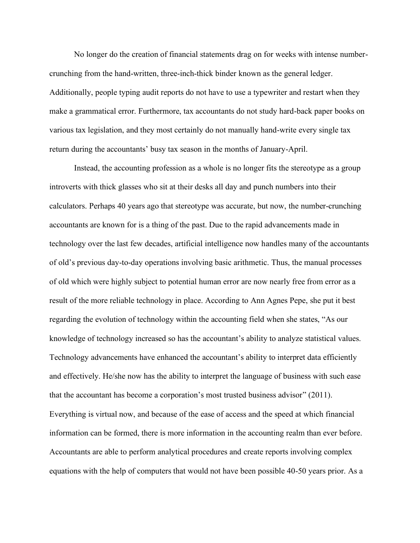No longer do the creation of financial statements drag on for weeks with intense numbercrunching from the hand-written, three-inch-thick binder known as the general ledger. Additionally, people typing audit reports do not have to use a typewriter and restart when they make a grammatical error. Furthermore, tax accountants do not study hard-back paper books on various tax legislation, and they most certainly do not manually hand-write every single tax return during the accountants' busy tax season in the months of January-April.

Instead, the accounting profession as a whole is no longer fits the stereotype as a group introverts with thick glasses who sit at their desks all day and punch numbers into their calculators. Perhaps 40 years ago that stereotype was accurate, but now, the number-crunching accountants are known for is a thing of the past. Due to the rapid advancements made in technology over the last few decades, artificial intelligence now handles many of the accountants of old's previous day-to-day operations involving basic arithmetic. Thus, the manual processes of old which were highly subject to potential human error are now nearly free from error as a result of the more reliable technology in place. According to Ann Agnes Pepe, she put it best regarding the evolution of technology within the accounting field when she states, "As our knowledge of technology increased so has the accountant's ability to analyze statistical values. Technology advancements have enhanced the accountant's ability to interpret data efficiently and effectively. He/she now has the ability to interpret the language of business with such ease that the accountant has become a corporation's most trusted business advisor"  $(2011)$ . Everything is virtual now, and because of the ease of access and the speed at which financial information can be formed, there is more information in the accounting realm than ever before. Accountants are able to perform analytical procedures and create reports involving complex equations with the help of computers that would not have been possible 40-50 years prior. As a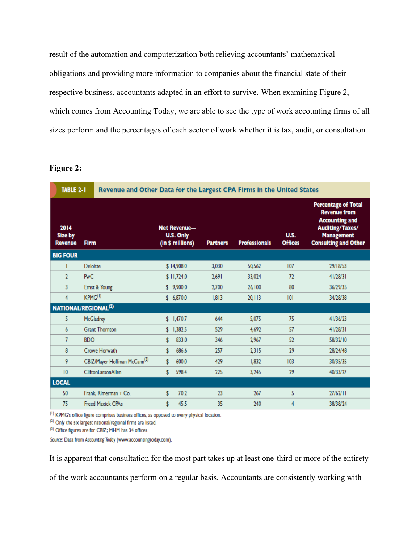result of the automation and computerization both relieving accountants' mathematical obligations and providing more information to companies about the financial state of their respective business, accountants adapted in an effort to survive. When examining Figure 2, which comes from Accounting Today, we are able to see the type of work accounting firms of all sizes perform and the percentages of each sector of work whether it is tax, audit, or consultation.

| Figur |
|-------|
|-------|

| <b>TABLE 2-1</b>                         |                                          | Revenue and Other Data for the Largest CPA Firms in the United States |                 |                      |                               |                                                                                                                                                          |
|------------------------------------------|------------------------------------------|-----------------------------------------------------------------------|-----------------|----------------------|-------------------------------|----------------------------------------------------------------------------------------------------------------------------------------------------------|
| 2014<br><b>Size by</b><br><b>Revenue</b> | <b>Firm</b>                              | <b>Net Revenue-</b><br>U.S. Only<br>(in \$ millions)                  | <b>Partners</b> | <b>Professionals</b> | <b>U.S.</b><br><b>Offices</b> | <b>Percentage of Total</b><br><b>Revenue from</b><br><b>Accounting and</b><br><b>Auditing/Taxes/</b><br><b>Management</b><br><b>Consulting and Other</b> |
| <b>BIG FOUR</b>                          |                                          |                                                                       |                 |                      |                               |                                                                                                                                                          |
|                                          | <b>Deloitte</b>                          | \$14,908.0                                                            | 3,030           | 50,562               | 107                           | 29/18/53                                                                                                                                                 |
| 2                                        | <b>PwC</b>                               | \$11,724.0                                                            | 2691            | 33,024               | 72                            | 41/28/31                                                                                                                                                 |
| 3                                        | Ernst & Young                            | \$9,900.0                                                             | 2700            | 26,100               | 80                            | 36/29/35                                                                                                                                                 |
| 4                                        | KPMG <sup>(I)</sup>                      | \$6,870.0                                                             | 1.813           | 20, 113              | 101                           | 34/28/38                                                                                                                                                 |
|                                          | NATIONAL/REGIONAL <sup>(2)</sup>         |                                                                       |                 |                      |                               |                                                                                                                                                          |
| 5.                                       | McGladrey                                | \$1,470.7                                                             | 644             | 5,075                | 75                            | 41/36/23                                                                                                                                                 |
| 6                                        | <b>Grant Thornton</b>                    | 1,382.5<br>\$                                                         | 529             | 4.692                | 57                            | 41/28/31                                                                                                                                                 |
| 7                                        | <b>BDO</b>                               | 833.0<br>s                                                            | 346             | 2,967                | 52                            | 58/32/10                                                                                                                                                 |
| 8                                        | Crowe Horwath                            | 686.6<br>s                                                            | 257             | 2315                 | 29                            | 28/24/48                                                                                                                                                 |
| 9                                        | CBIZ/Mayer Hoffman McCann <sup>(3)</sup> | 600.0<br>s                                                            | 429             | 1,832                | 103                           | 30/35/35                                                                                                                                                 |
| 10                                       | CliftonLarsonAllen                       | 598.4<br>s                                                            | 225             | 3,245                | 29                            | 40/33/27                                                                                                                                                 |
| <b>LOCAL</b>                             |                                          |                                                                       |                 |                      |                               |                                                                                                                                                          |
| 50                                       | Frank, Rimerman + Co.                    | 70.2<br>s                                                             | 23              | 267                  | 5                             | 27/62/11                                                                                                                                                 |
| 75                                       | <b>Freed Maxick CPAs</b>                 | 45.5<br>\$                                                            | 35              | 240                  | 4                             | 38/38/24                                                                                                                                                 |

(1) KPMG's office figure comprises business offices, as opposed to every physical location.

(2) Only the six largest national/regional firms are listed.

(3) Office figures are for CBIZ; MHM has 34 offices.

Source: Data from Accounting Today (www.accountingtoday.com).

It is apparent that consultation for the most part takes up at least one-third or more of the entirety

of the work accountants perform on a regular basis. Accountants are consistently working with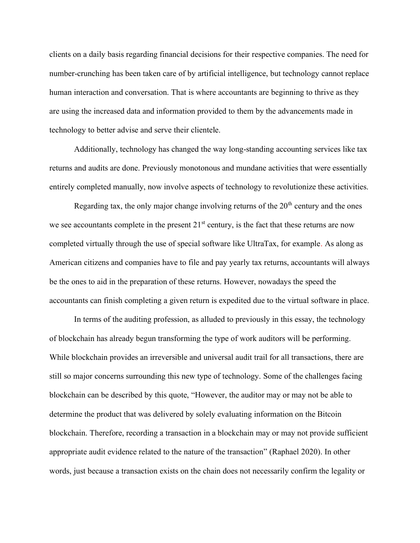clients on a daily basis regarding financial decisions for their respective companies. The need for number-crunching has been taken care of by artificial intelligence, but technology cannot replace human interaction and conversation. That is where accountants are beginning to thrive as they are using the increased data and information provided to them by the advancements made in technology to better advise and serve their clientele.

Additionally, technology has changed the way long-standing accounting services like tax returns and audits are done. Previously monotonous and mundane activities that were essentially entirely completed manually, now involve aspects of technology to revolutionize these activities.

Regarding tax, the only major change involving returns of the  $20<sup>th</sup>$  century and the ones we see accountants complete in the present  $21<sup>st</sup>$  century, is the fact that these returns are now completed virtually through the use of special software like UltraTax, for example. As along as American citizens and companies have to file and pay yearly tax returns, accountants will always be the ones to aid in the preparation of these returns. However, nowadays the speed the accountants can finish completing a given return is expedited due to the virtual software in place.

In terms of the auditing profession, as alluded to previously in this essay, the technology of blockchain has already begun transforming the type of work auditors will be performing. While blockchain provides an irreversible and universal audit trail for all transactions, there are still so major concerns surrounding this new type of technology. Some of the challenges facing blockchain can be described by this quote, "However, the auditor may or may not be able to determine the product that was delivered by solely evaluating information on the Bitcoin blockchain. Therefore, recording a transaction in a blockchain may or may not provide sufficient appropriate audit evidence related to the nature of the transaction" (Raphael 2020). In other words, just because a transaction exists on the chain does not necessarily confirm the legality or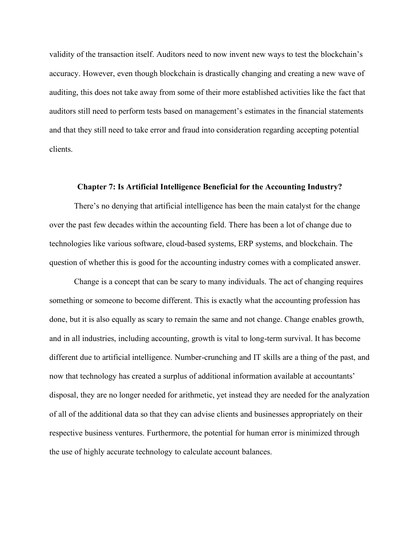validity of the transaction itself. Auditors need to now invent new ways to test the blockchain's accuracy. However, even though blockchain is drastically changing and creating a new wave of auditing, this does not take away from some of their more established activities like the fact that auditors still need to perform tests based on management's estimates in the financial statements and that they still need to take error and fraud into consideration regarding accepting potential clients.

#### **Chapter 7: Is Artificial Intelligence Beneficial for the Accounting Industry?**

There's no denying that artificial intelligence has been the main catalyst for the change over the past few decades within the accounting field. There has been a lot of change due to technologies like various software, cloud-based systems, ERP systems, and blockchain. The question of whether this is good for the accounting industry comes with a complicated answer.

Change is a concept that can be scary to many individuals. The act of changing requires something or someone to become different. This is exactly what the accounting profession has done, but it is also equally as scary to remain the same and not change. Change enables growth, and in all industries, including accounting, growth is vital to long-term survival. It has become different due to artificial intelligence. Number-crunching and IT skills are a thing of the past, and now that technology has created a surplus of additional information available at accountants' disposal, they are no longer needed for arithmetic, yet instead they are needed for the analyzation of all of the additional data so that they can advise clients and businesses appropriately on their respective business ventures. Furthermore, the potential for human error is minimized through the use of highly accurate technology to calculate account balances.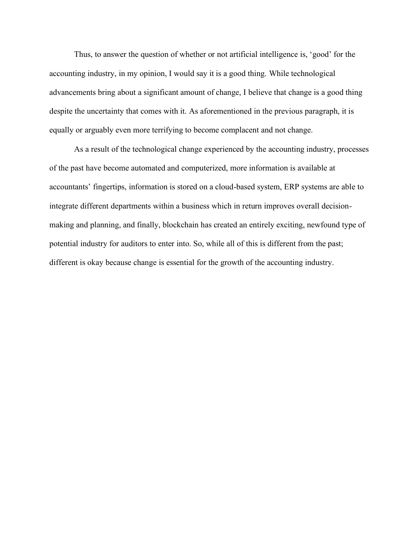Thus, to answer the question of whether or not artificial intelligence is, 'good' for the accounting industry, in my opinion, I would say it is a good thing. While technological advancements bring about a significant amount of change, I believe that change is a good thing despite the uncertainty that comes with it. As aforementioned in the previous paragraph, it is equally or arguably even more terrifying to become complacent and not change.

As a result of the technological change experienced by the accounting industry, processes of the past have become automated and computerized, more information is available at accountants' fingertips, information is stored on a cloud-based system, ERP systems are able to integrate different departments within a business which in return improves overall decisionmaking and planning, and finally, blockchain has created an entirely exciting, newfound type of potential industry for auditors to enter into. So, while all of this is different from the past; different is okay because change is essential for the growth of the accounting industry.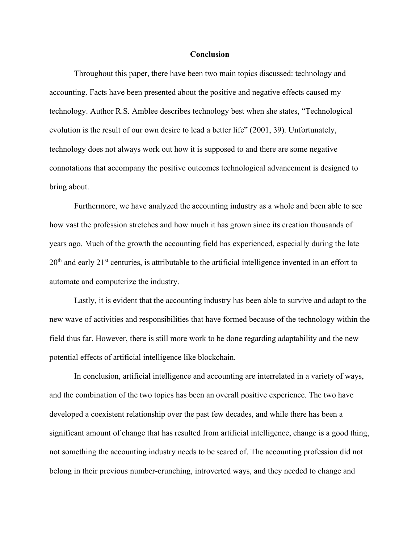#### **Conclusion**

Throughout this paper, there have been two main topics discussed: technology and accounting. Facts have been presented about the positive and negative effects caused my technology. Author R.S. Amblee describes technology best when she states, "Technological evolution is the result of our own desire to lead a better life" (2001, 39). Unfortunately, technology does not always work out how it is supposed to and there are some negative connotations that accompany the positive outcomes technological advancement is designed to bring about.

Furthermore, we have analyzed the accounting industry as a whole and been able to see how vast the profession stretches and how much it has grown since its creation thousands of years ago. Much of the growth the accounting field has experienced, especially during the late  $20<sup>th</sup>$  and early  $21<sup>st</sup>$  centuries, is attributable to the artificial intelligence invented in an effort to automate and computerize the industry.

Lastly, it is evident that the accounting industry has been able to survive and adapt to the new wave of activities and responsibilities that have formed because of the technology within the field thus far. However, there is still more work to be done regarding adaptability and the new potential effects of artificial intelligence like blockchain.

In conclusion, artificial intelligence and accounting are interrelated in a variety of ways, and the combination of the two topics has been an overall positive experience. The two have developed a coexistent relationship over the past few decades, and while there has been a significant amount of change that has resulted from artificial intelligence, change is a good thing, not something the accounting industry needs to be scared of. The accounting profession did not belong in their previous number-crunching, introverted ways, and they needed to change and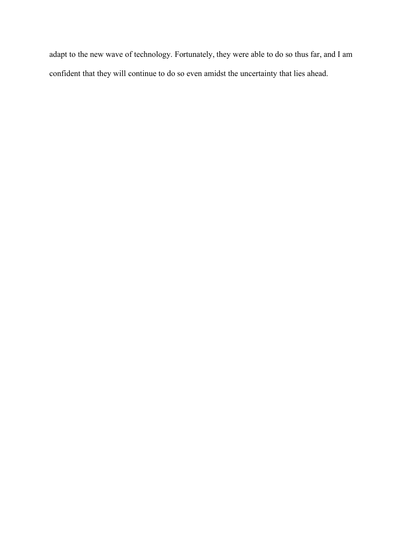adapt to the new wave of technology. Fortunately, they were able to do so thus far, and I am confident that they will continue to do so even amidst the uncertainty that lies ahead.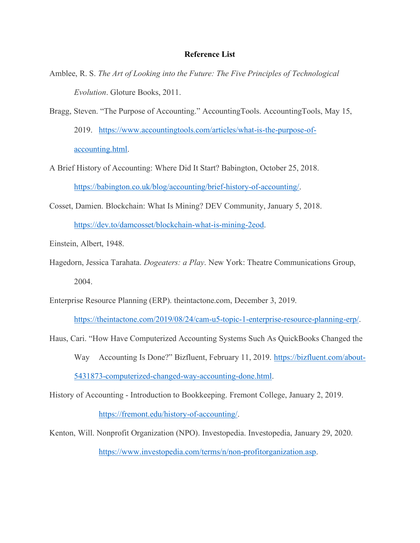- Amblee, R. S. *The Art of Looking into the Future: The Five Principles of Technological Evolution*. Gloture Books, 2011.
- Bragg, Steven. "The Purpose of Accounting." AccountingTools. AccountingTools, May 15, 2019. https://www.accountingtools.com/articles/what-is-the-purpose-ofaccounting.html.
- A Brief History of Accounting: Where Did It Start? Babington, October 25, 2018. https://babington.co.uk/blog/accounting/brief-history-of-accounting/.
- Cosset, Damien. Blockchain: What Is Mining? DEV Community, January 5, 2018. https://dev.to/damcosset/blockchain-what-is-mining-2eod.
- Einstein, Albert, 1948.
- Hagedorn, Jessica Tarahata. *Dogeaters: a Play*. New York: Theatre Communications Group, 2004.
- Enterprise Resource Planning (ERP). theintactone.com, December 3, 2019.

https://theintactone.com/2019/08/24/cam-u5-topic-1-enterprise-resource-planning-erp/.

Haus, Cari. "How Have Computerized Accounting Systems Such As QuickBooks Changed the Way Accounting Is Done?" Bizfluent, February 11, 2019. https://bizfluent.com/about-5431873-computerized-changed-way-accounting-done.html.

History of Accounting - Introduction to Bookkeeping. Fremont College, January 2, 2019.

https://fremont.edu/history-of-accounting/.

Kenton, Will. Nonprofit Organization (NPO). Investopedia. Investopedia, January 29, 2020. https://www.investopedia.com/terms/n/non-profitorganization.asp.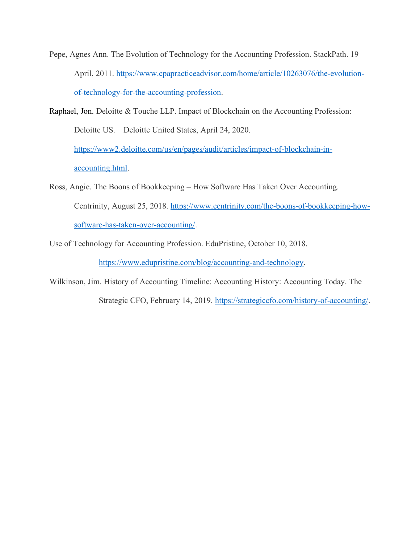Pepe, Agnes Ann. The Evolution of Technology for the Accounting Profession. StackPath. 19 April, 2011. https://www.cpapracticeadvisor.com/home/article/10263076/the-evolutionof-technology-for-the-accounting-profession.

Raphael, Jon. Deloitte & Touche LLP. Impact of Blockchain on the Accounting Profession: Deloitte US. Deloitte United States, April 24, 2020. https://www2.deloitte.com/us/en/pages/audit/articles/impact-of-blockchain-inaccounting.html.

Ross, Angie. The Boons of Bookkeeping – How Software Has Taken Over Accounting. Centrinity, August 25, 2018. https://www.centrinity.com/the-boons-of-bookkeeping-howsoftware-has-taken-over-accounting/.

Use of Technology for Accounting Profession. EduPristine, October 10, 2018.

https://www.edupristine.com/blog/accounting-and-technology.

Wilkinson, Jim. History of Accounting Timeline: Accounting History: Accounting Today. The

Strategic CFO, February 14, 2019. https://strategiccfo.com/history-of-accounting/.